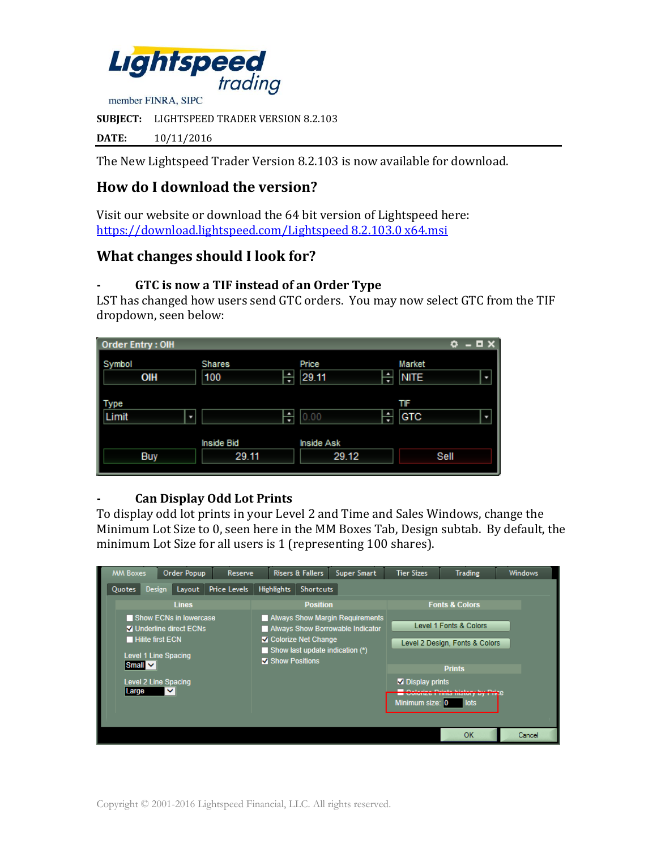

**SUBJECT:** LIGHTSPEED TRADER VERSION 8.2.103

**DATE:** 10/11/2016

The New Lightspeed Trader Version 8.2.103 is now available for download.

# **How do I download the version?**

Visit our website or download the 64 bit version of Lightspeed here: [https://download.lightspeed.com/Lightspeed 8.2.103.0 x64.msi](https://download.lightspeed.com/Lightspeed%208.2.103.0%20x64.msi)

## **What changes should I look for?**

#### **- GTC is now a TIF instead of an Order Type**

LST has changed how users send GTC orders. You may now select GTC from the TIF dropdown, seen below:

| <b>Order Entry: OIH</b> |                                |                     | o<br>o                     |
|-------------------------|--------------------------------|---------------------|----------------------------|
| Symbol<br>OIH           | <b>Shares</b><br>۰<br>100<br>≖ | Price<br>29.11<br>× | Market<br><b>NITE</b><br>D |
| Type<br>Limit<br>u      | ۰<br>▼                         | 0.00<br>Ψ           | TIF<br>GTC<br>٠            |
|                         | <b>Inside Bid</b>              | <b>Inside Ask</b>   |                            |
| <b>Buy</b>              | 29.11                          | 29.12               | Sell                       |

#### **- Can Display Odd Lot Prints**

To display odd lot prints in your Level 2 and Time and Sales Windows, change the Minimum Lot Size to 0, seen here in the MM Boxes Tab, Design subtab. By default, the minimum Lot Size for all users is 1 (representing 100 shares).